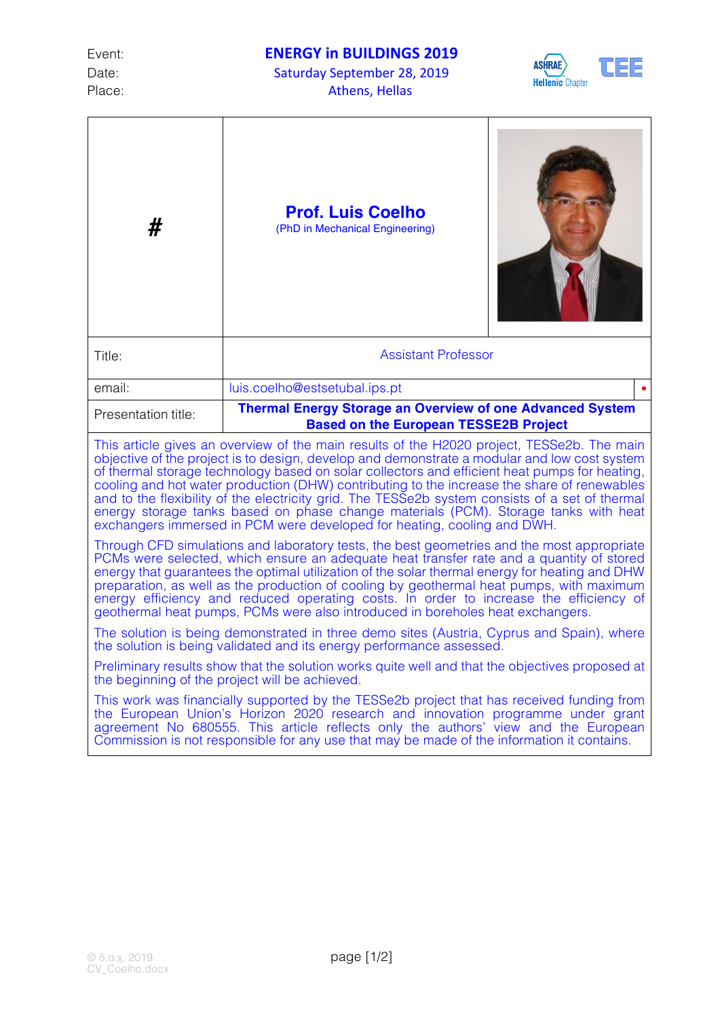Date: Saturday September 28, 2019 Place: Athens, Hellas



| #                                                                                                                                                                                                                                                                                                                                                                                                                                                                                                                                                                                                                                                               | <b>Prof. Luis Coelho</b><br>(PhD in Mechanical Engineering)                                                      |  |  |  |
|-----------------------------------------------------------------------------------------------------------------------------------------------------------------------------------------------------------------------------------------------------------------------------------------------------------------------------------------------------------------------------------------------------------------------------------------------------------------------------------------------------------------------------------------------------------------------------------------------------------------------------------------------------------------|------------------------------------------------------------------------------------------------------------------|--|--|--|
| Title:                                                                                                                                                                                                                                                                                                                                                                                                                                                                                                                                                                                                                                                          | <b>Assistant Professor</b>                                                                                       |  |  |  |
| email:                                                                                                                                                                                                                                                                                                                                                                                                                                                                                                                                                                                                                                                          | luis.coelho@estsetubal.ips.pt                                                                                    |  |  |  |
| Presentation title:                                                                                                                                                                                                                                                                                                                                                                                                                                                                                                                                                                                                                                             | <b>Thermal Energy Storage an Overview of one Advanced System</b><br><b>Based on the European TESSE2B Project</b> |  |  |  |
| This article gives an overview of the main results of the H2020 project, TESSe2b. The main<br>objective of the project is to design, develop and demonstrate a modular and low cost system<br>of thermal storage technology based on solar collectors and efficient heat pumps for heating,<br>cooling and hot water production (DHW) contributing to the increase the share of renewables<br>and to the flexibility of the electricity grid. The TESSe2b system consists of a set of thermal<br>energy storage tanks based on phase change materials (PCM). Storage tanks with heat<br>exchangers immersed in PCM were developed for heating, cooling and DWH. |                                                                                                                  |  |  |  |
| Through CFD simulations and laboratory tests, the best geometries and the most appropriate<br>PCMs were selected, which ensure an adequate heat transfer rate and a quantity of stored<br>energy that guarantees the optimal utilization of the solar thermal energy for heating and DHW<br>preparation, as well as the production of cooling by geothermal heat pumps, with maximum<br>energy efficiency and reduced operating costs. In order to increase the efficiency of<br>geothermal heat pumps, PCMs were also introduced in boreholes heat exchangers.                                                                                                 |                                                                                                                  |  |  |  |
| The solution is being demonstrated in three demo sites (Austria, Cyprus and Spain), where<br>the solution is being validated and its energy performance assessed.                                                                                                                                                                                                                                                                                                                                                                                                                                                                                               |                                                                                                                  |  |  |  |
| Preliminary results show that the solution works quite well and that the objectives proposed at<br>the beginning of the project will be achieved.                                                                                                                                                                                                                                                                                                                                                                                                                                                                                                               |                                                                                                                  |  |  |  |
| This work was financially supported by the TESSe2b project that has received funding from<br>the European Union's Horizon 2020 research and innovation programme under grant<br>agreement No 680555. This article reflects only the authors' view and the European<br>Commission is not responsible for any use that may be made of the information it contains.                                                                                                                                                                                                                                                                                                |                                                                                                                  |  |  |  |